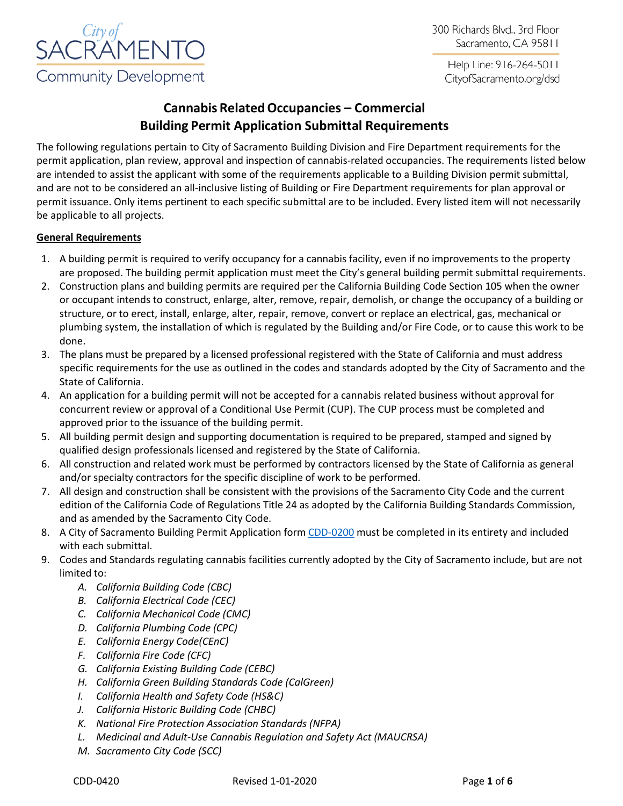

300 Richards Blvd., 3rd Floor Sacramento, CA 95811

Help Line: 916-264-5011 CityofSacramento.org/dsd

# **Cannabis RelatedOccupancies – Commercial Building Permit Application Submittal Requirements**

The following regulations pertain to City of Sacramento Building Division and Fire Department requirements for the permit application, plan review, approval and inspection of cannabis-related occupancies. The requirements listed below are intended to assist the applicant with some of the requirements applicable to a Building Division permit submittal, and are not to be considered an all-inclusive listing of Building or Fire Department requirements for plan approval or permit issuance. Only items pertinent to each specific submittal are to be included. Every listed item will not necessarily be applicable to all projects.

## **General Requirements**

- 1. A building permit is required to verify occupancy for a cannabis facility, even if no improvements to the property are proposed. The building permit application must meet the City's general building permit submittal requirements.
- 2. Construction plans and building permits are required per the California Building Code Section 105 when the owner or occupant intends to construct, enlarge, alter, remove, repair, demolish, or change the occupancy of a building or structure, or to erect, install, enlarge, alter, repair, remove, convert or replace an electrical, gas, mechanical or plumbing system, the installation of which is regulated by the Building and/or Fire Code, or to cause this work to be done.
- 3. The plans must be prepared by a licensed professional registered with the State of California and must address specific requirements for the use as outlined in the codes and standards adopted by the City of Sacramento and the State of California.
- 4. An application for a building permit will not be accepted for a cannabis related business without approval for concurrent review or approval of a Conditional Use Permit (CUP). The CUP process must be completed and approved prior to the issuance of the building permit.
- 5. All building permit design and supporting documentation is required to be prepared, stamped and signed by qualified design professionals licensed and registered by the State of California.
- 6. All construction and related work must be performed by contractors licensed by the State of California as general and/or specialty contractors for the specific discipline of work to be performed.
- 7. All design and construction shall be consistent with the provisions of the Sacramento City Code and the current edition of the California Code of Regulations Title 24 as adopted by the California Building Standards Commission, and as amended by the Sacramento City Code.
- 8. A City of Sacramento Building Permit Application form [CDD-0200](http://www.cityofsacramento.org/Community-Development/Resources/Forms/Building-Forms) must be completed in its entirety and included with each submittal.
- 9. Codes and Standards regulating cannabis facilities currently adopted by the City of Sacramento include, but are not limited to:
	- *A. California Building Code (CBC)*
	- *B. California Electrical Code (CEC)*
	- *C. California Mechanical Code (CMC)*
	- *D. California Plumbing Code (CPC)*
	- *E. California Energy Code(CEnC)*
	- *F. California Fire Code (CFC)*
	- *G. California Existing Building Code (CEBC)*
	- *H. California Green Building Standards Code (CalGreen)*
	- *I. California Health and Safety Code (HS&C)*
	- *J. California Historic Building Code (CHBC)*
	- *K. National Fire Protection Association Standards (NFPA)*
	- *L. Medicinal and Adult-Use Cannabis Regulation and Safety Act (MAUCRSA)*
	- *M. Sacramento City Code (SCC)*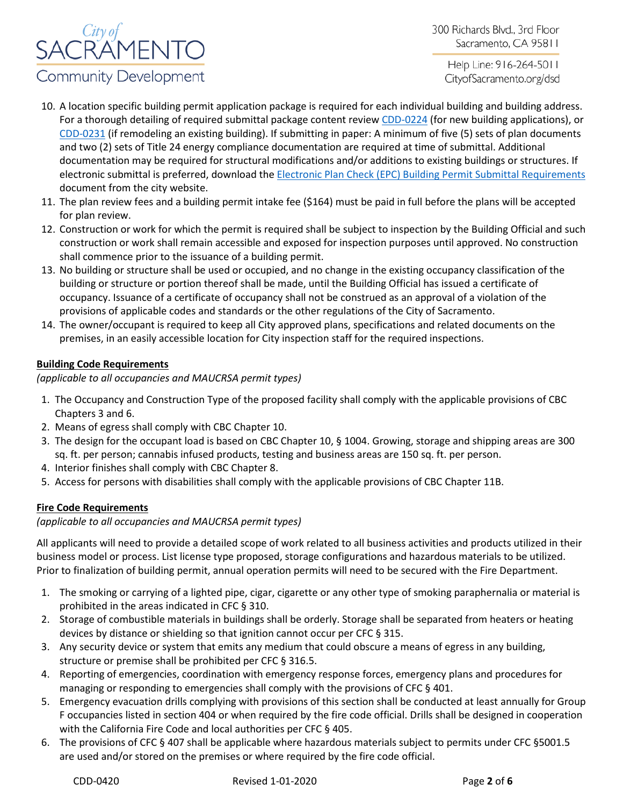

300 Richards Blvd., 3rd Floor Sacramento, CA 95811

Help Line: 916-264-5011 CityofSacramento.org/dsd

- 10. A location specific building permit application package is required for each individual building and building address. For a thorough detailing of required submittal package content review [CDD-0224](http://www.cityofsacramento.org/Community-Development/Resources/Forms/Building-Forms) (for new building applications), or [CDD-0231](http://www.cityofsacramento.org/Community-Development/Resources/Forms/Building-Forms) (if remodeling an existing building). If submitting in paper: A minimum of five (5) sets of plan documents and two (2) sets of Title 24 energy compliance documentation are required at time of submittal. Additional documentation may be required for structural modifications and/or additions to existing buildings or structures. If electronic submittal is preferred, download the [Electronic Plan Check \(EPC\) Building Permit Submittal Requirements](http://www.cityofsacramento.org/Community-Development/Building/Plan-Review/Electronic-Plan-Check) document from the city website.
- 11. The plan review fees and a building permit intake fee (\$164) must be paid in full before the plans will be accepted for plan review.
- 12. Construction or work for which the permit is required shall be subject to inspection by the Building Official and such construction or work shall remain accessible and exposed for inspection purposes until approved. No construction shall commence prior to the issuance of a building permit.
- 13. No building or structure shall be used or occupied, and no change in the existing occupancy classification of the building or structure or portion thereof shall be made, until the Building Official has issued a certificate of occupancy. Issuance of a certificate of occupancy shall not be construed as an approval of a violation of the provisions of applicable codes and standards or the other regulations of the City of Sacramento.
- 14. The owner/occupant is required to keep all City approved plans, specifications and related documents on the premises, in an easily accessible location for City inspection staff for the required inspections.

## **Building Code Requirements**

*(applicable to all occupancies and MAUCRSA permit types)*

- 1. The Occupancy and Construction Type of the proposed facility shall comply with the applicable provisions of CBC Chapters 3 and 6.
- 2. Means of egress shall comply with CBC Chapter 10.
- 3. The design for the occupant load is based on CBC Chapter 10, § 1004. Growing, storage and shipping areas are 300 sq. ft. per person; cannabis infused products, testing and business areas are 150 sq. ft. per person.
- 4. Interior finishes shall comply with CBC Chapter 8.
- 5. Access for persons with disabilities shall comply with the applicable provisions of CBC Chapter 11B.

## **Fire Code Requirements**

*(applicable to all occupancies and MAUCRSA permit types)*

All applicants will need to provide a detailed scope of work related to all business activities and products utilized in their business model or process. List license type proposed, storage configurations and hazardous materials to be utilized. Prior to finalization of building permit, annual operation permits will need to be secured with the Fire Department.

- 1. The smoking or carrying of a lighted pipe, cigar, cigarette or any other type of smoking paraphernalia or material is prohibited in the areas indicated in CFC § 310.
- 2. Storage of combustible materials in buildings shall be orderly. Storage shall be separated from heaters or heating devices by distance or shielding so that ignition cannot occur per CFC § 315.
- 3. Any security device or system that emits any medium that could obscure a means of egress in any building, structure or premise shall be prohibited per CFC § 316.5.
- 4. Reporting of emergencies, coordination with emergency response forces, emergency plans and procedures for managing or responding to emergencies shall comply with the provisions of CFC § 401.
- 5. Emergency evacuation drills complying with provisions of this section shall be conducted at least annually for Group F occupancies listed in section 404 or when required by the fire code official. Drills shall be designed in cooperation with the California Fire Code and local authorities per CFC § 405.
- 6. The provisions of CFC § 407 shall be applicable where hazardous materials subject to permits under CFC §5001.5 are used and/or stored on the premises or where required by the fire code official.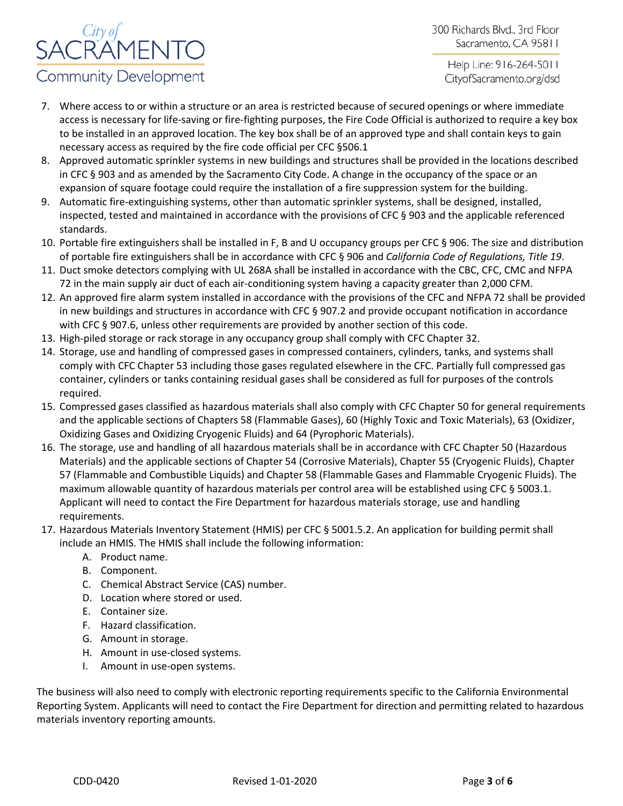

300 Richards Blvd., 3rd Floor Sacramento, CA 95811

Help Line: 916-264-5011 CityofSacramento.org/dsd

- 7. Where access to or within a structure or an area is restricted because of secured openings or where immediate access is necessary for life-saving or fire-fighting purposes, the Fire Code Official is authorized to require a key box to be installed in an approved location. The key box shall be of an approved type and shall contain keys to gain necessary access as required by the fire code official per CFC §506.1
- 8. Approved automatic sprinkler systems in new buildings and structures shall be provided in the locations described in CFC § 903 and as amended by the Sacramento City Code. A change in the occupancy of the space or an expansion of square footage could require the installation of a fire suppression system for the building.
- 9. Automatic fire-extinguishing systems, other than automatic sprinkler systems, shall be designed, installed, inspected, tested and maintained in accordance with the provisions of CFC § 903 and the applicable referenced standards.
- 10. Portable fire extinguishers shall be installed in F, B and U occupancy groups per CFC § 906. The size and distribution of portable fire extinguishers shall be in accordance with CFC § 906 and *California Code of Regulations, Title 19*.
- 11. Duct smoke detectors complying with UL 268A shall be installed in accordance with the CBC, CFC, CMC and NFPA 72 in the main supply air duct of each air-conditioning system having a capacity greater than 2,000 CFM.
- 12. An approved fire alarm system installed in accordance with the provisions of the CFC and NFPA 72 shall be provided in new buildings and structures in accordance with CFC § 907.2 and provide occupant notification in accordance with CFC § 907.6, unless other requirements are provided by another section of this code.
- 13. High-piled storage or rack storage in any occupancy group shall comply with CFC Chapter 32.
- 14. Storage, use and handling of compressed gases in compressed containers, cylinders, tanks, and systems shall comply with CFC Chapter 53 including those gases regulated elsewhere in the CFC. Partially full compressed gas container, cylinders or tanks containing residual gases shall be considered as full for purposes of the controls required.
- 15. Compressed gases classified as hazardous materials shall also comply with CFC Chapter 50 for general requirements and the applicable sections of Chapters 58 (Flammable Gases), 60 (Highly Toxic and Toxic Materials), 63 (Oxidizer, Oxidizing Gases and Oxidizing Cryogenic Fluids) and 64 (Pyrophoric Materials).
- 16. The storage, use and handling of all hazardous materials shall be in accordance with CFC Chapter 50 (Hazardous Materials) and the applicable sections of Chapter 54 (Corrosive Materials), Chapter 55 (Cryogenic Fluids), Chapter 57 (Flammable and Combustible Liquids) and Chapter 58 (Flammable Gases and Flammable Cryogenic Fluids). The maximum allowable quantity of hazardous materials per control area will be established using CFC § 5003.1. Applicant will need to contact the Fire Department for hazardous materials storage, use and handling requirements.
- 17. Hazardous Materials Inventory Statement (HMIS) per CFC § 5001.5.2. An application for building permit shall include an HMIS. The HMIS shall include the following information:
	- A. Product name.
	- B. Component.
	- C. Chemical Abstract Service (CAS) number.
	- D. Location where stored or used.
	- E. Container size.
	- F. Hazard classification.
	- G. Amount in storage.
	- H. Amount in use-closed systems.
	- I. Amount in use-open systems.

The business will also need to comply with electronic reporting requirements specific to the California Environmental Reporting System. Applicants will need to contact the Fire Department for direction and permitting related to hazardous materials inventory reporting amounts.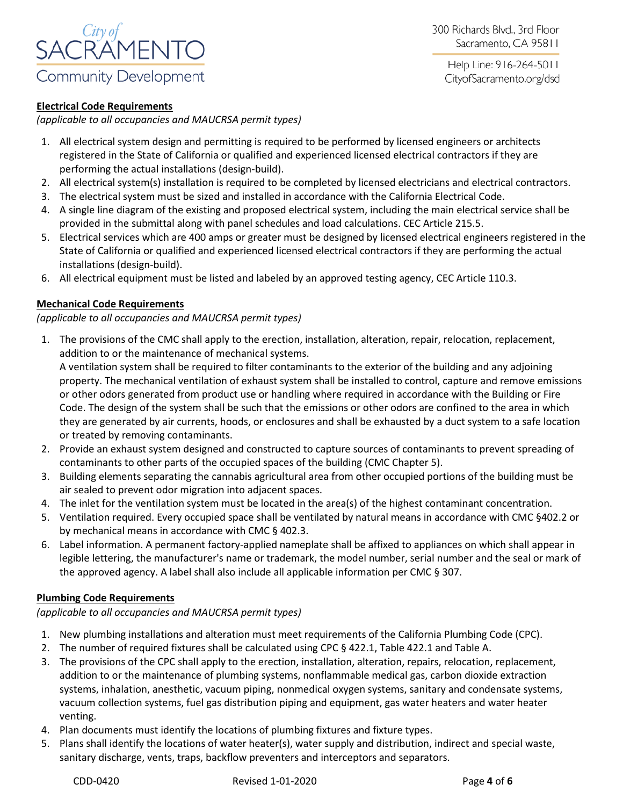

Help Line: 916-264-5011 CityofSacramento.org/dsd

## **Electrical Code Requirements**

*(applicable to all occupancies and MAUCRSA permit types)*

- 1. All electrical system design and permitting is required to be performed by licensed engineers or architects registered in the State of California or qualified and experienced licensed electrical contractors if they are performing the actual installations (design-build).
- 2. All electrical system(s) installation is required to be completed by licensed electricians and electrical contractors.
- 3. The electrical system must be sized and installed in accordance with the California Electrical Code.
- 4. A single line diagram of the existing and proposed electrical system, including the main electrical service shall be provided in the submittal along with panel schedules and load calculations. CEC Article 215.5.
- 5. Electrical services which are 400 amps or greater must be designed by licensed electrical engineers registered in the State of California or qualified and experienced licensed electrical contractors if they are performing the actual installations (design-build).
- 6. All electrical equipment must be listed and labeled by an approved testing agency, CEC Article 110.3.

#### **Mechanical Code Requirements**

*(applicable to all occupancies and MAUCRSA permit types)*

1. The provisions of the CMC shall apply to the erection, installation, alteration, repair, relocation, replacement, addition to or the maintenance of mechanical systems.

A ventilation system shall be required to filter contaminants to the exterior of the building and any adjoining property. The mechanical ventilation of exhaust system shall be installed to control, capture and remove emissions or other odors generated from product use or handling where required in accordance with the Building or Fire Code. The design of the system shall be such that the emissions or other odors are confined to the area in which they are generated by air currents, hoods, or enclosures and shall be exhausted by a duct system to a safe location or treated by removing contaminants.

- 2. Provide an exhaust system designed and constructed to capture sources of contaminants to prevent spreading of contaminants to other parts of the occupied spaces of the building (CMC Chapter 5).
- 3. Building elements separating the cannabis agricultural area from other occupied portions of the building must be air sealed to prevent odor migration into adjacent spaces.
- 4. The inlet for the ventilation system must be located in the area(s) of the highest contaminant concentration.
- 5. Ventilation required. Every occupied space shall be ventilated by natural means in accordance with CMC §402.2 or by mechanical means in accordance with CMC § 402.3.
- 6. Label information. A permanent factory-applied nameplate shall be affixed to appliances on which shall appear in legible lettering, the manufacturer's name or trademark, the model number, serial number and the seal or mark of the approved agency. A label shall also include all applicable information per CMC § 307.

#### **Plumbing Code Requirements**

*(applicable to all occupancies and MAUCRSA permit types)*

- 1. New plumbing installations and alteration must meet requirements of the California Plumbing Code (CPC).
- 2. The number of required fixtures shall be calculated using CPC § 422.1, Table 422.1 and Table A.
- 3. The provisions of the CPC shall apply to the erection, installation, alteration, repairs, relocation, replacement, addition to or the maintenance of plumbing systems, nonflammable medical gas, carbon dioxide extraction systems, inhalation, anesthetic, vacuum piping, nonmedical oxygen systems, sanitary and condensate systems, vacuum collection systems, fuel gas distribution piping and equipment, gas water heaters and water heater venting.
- 4. Plan documents must identify the locations of plumbing fixtures and fixture types.
- 5. Plans shall identify the locations of water heater(s), water supply and distribution, indirect and special waste, sanitary discharge, vents, traps, backflow preventers and interceptors and separators.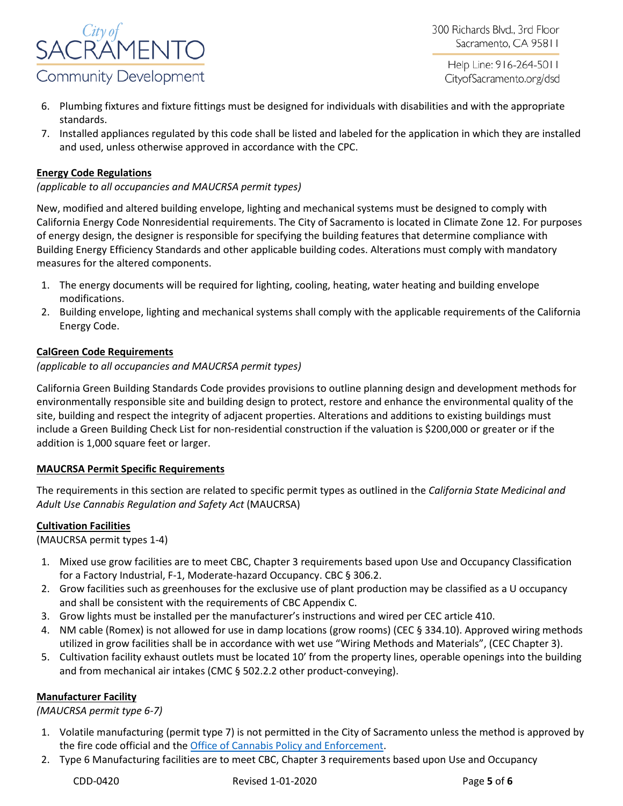

Help Line: 916-264-5011 CityofSacramento.org/dsd

- 6. Plumbing fixtures and fixture fittings must be designed for individuals with disabilities and with the appropriate standards.
- 7. Installed appliances regulated by this code shall be listed and labeled for the application in which they are installed and used, unless otherwise approved in accordance with the CPC.

### **Energy Code Regulations**

### *(applicable to all occupancies and MAUCRSA permit types)*

New, modified and altered building envelope, lighting and mechanical systems must be designed to comply with California Energy Code Nonresidential requirements. The City of Sacramento is located in Climate Zone 12. For purposes of energy design, the designer is responsible for specifying the building features that determine compliance with Building Energy Efficiency Standards and other applicable building codes. Alterations must comply with mandatory measures for the altered components.

- 1. The energy documents will be required for lighting, cooling, heating, water heating and building envelope modifications.
- 2. Building envelope, lighting and mechanical systems shall comply with the applicable requirements of the California Energy Code.

#### **CalGreen Code Requirements**

#### *(applicable to all occupancies and MAUCRSA permit types)*

California Green Building Standards Code provides provisions to outline planning design and development methods for environmentally responsible site and building design to protect, restore and enhance the environmental quality of the site, building and respect the integrity of adjacent properties. Alterations and additions to existing buildings must include a Green Building Check List for non-residential construction if the valuation is \$200,000 or greater or if the addition is 1,000 square feet or larger.

#### **MAUCRSA Permit Specific Requirements**

The requirements in this section are related to specific permit types as outlined in the *California State Medicinal and Adult Use Cannabis Regulation and Safety Act* (MAUCRSA)

#### **Cultivation Facilities**

(MAUCRSA permit types 1-4)

- 1. Mixed use grow facilities are to meet CBC, Chapter 3 requirements based upon Use and Occupancy Classification for a Factory Industrial, F-1, Moderate-hazard Occupancy. CBC § 306.2.
- 2. Grow facilities such as greenhouses for the exclusive use of plant production may be classified as a U occupancy and shall be consistent with the requirements of CBC Appendix C.
- 3. Grow lights must be installed per the manufacturer's instructions and wired per CEC article 410.
- 4. NM cable (Romex) is not allowed for use in damp locations (grow rooms) (CEC § 334.10). Approved wiring methods utilized in grow facilities shall be in accordance with wet use "Wiring Methods and Materials", (CEC Chapter 3).
- 5. Cultivation facility exhaust outlets must be located 10' from the property lines, operable openings into the building and from mechanical air intakes (CMC § 502.2.2 other product-conveying).

#### **Manufacturer Facility**

*(MAUCRSA permit type 6-7)* 

- 1. Volatile manufacturing (permit type 7) is not permitted in the City of Sacramento unless the method is approved by the fire code official and the [Office of Cannabis Policy and Enforcement.](http://www.cityofsacramento.org/Finance/Revenue/Sacramento-Marijuana-Information/Business-Information/Manufacturing)
- 2. Type 6 Manufacturing facilities are to meet CBC, Chapter 3 requirements based upon Use and Occupancy